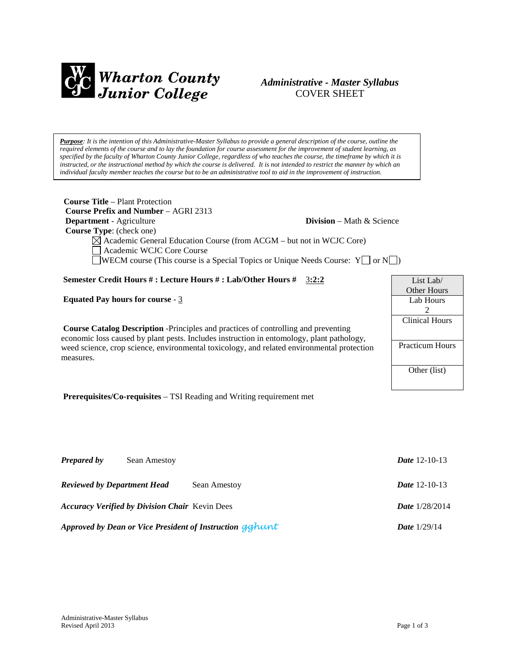

# *Administrative - Master Syllabus*  COVER SHEET

*Purpose: It is the intention of this Administrative-Master Syllabus to provide a general description of the course, outline the required elements of the course and to lay the foundation for course assessment for the improvement of student learning, as specified by the faculty of Wharton County Junior College, regardless of who teaches the course, the timeframe by which it is instructed, or the instructional method by which the course is delivered. It is not intended to restrict the manner by which an individual faculty member teaches the course but to be an administrative tool to aid in the improvement of instruction.*

| <b>Course Title – Plant Protection</b><br><b>Course Prefix and Number – AGRI 2313</b><br><b>Department</b> - Agriculture<br><b>Division</b> – Math $\&$ Science<br>Course Type: (check one)<br>$\boxtimes$ Academic General Education Course (from ACGM – but not in WCJC Core)<br>Academic WCJC Core Course<br><b>JWECM</b> course (This course is a Special Topics or Unique Needs Course: $Y \cap N$ ) |                                                                   |
|-----------------------------------------------------------------------------------------------------------------------------------------------------------------------------------------------------------------------------------------------------------------------------------------------------------------------------------------------------------------------------------------------------------|-------------------------------------------------------------------|
| <b>Semester Credit Hours #: Lecture Hours #: Lab/Other Hours #</b> 3:2:2                                                                                                                                                                                                                                                                                                                                  | List Lab/                                                         |
|                                                                                                                                                                                                                                                                                                                                                                                                           | <b>Other Hours</b>                                                |
| <b>Equated Pay hours for course - 3</b>                                                                                                                                                                                                                                                                                                                                                                   | Lab Hours                                                         |
| Course Catalog Description -Principles and practices of controlling and preventing<br>economic loss caused by plant pests. Includes instruction in entomology, plant pathology,<br>weed science, crop science, environmental toxicology, and related environmental protection<br>measures.                                                                                                                | $\mathfrak{D}$<br><b>Clinical Hours</b><br><b>Practicum Hours</b> |
|                                                                                                                                                                                                                                                                                                                                                                                                           | Other (list)                                                      |
|                                                                                                                                                                                                                                                                                                                                                                                                           |                                                                   |
| <b>Prerequisites/Co-requisites – TSI Reading and Writing requirement met</b>                                                                                                                                                                                                                                                                                                                              |                                                                   |

| <b>Prepared by</b>                                       | Sean Amestoy                                          |                       | <i>Date</i> 12-10-13    |
|----------------------------------------------------------|-------------------------------------------------------|-----------------------|-------------------------|
|                                                          | <b>Reviewed by Department Head</b>                    | Sean Amestoy          | <i>Date</i> 12-10-13    |
|                                                          | <b>Accuracy Verified by Division Chair</b> Kevin Dees |                       | <b>Date</b> $1/28/2014$ |
| Approved by Dean or Vice President of Instruction gahunt |                                                       | <b>Date</b> $1/29/14$ |                         |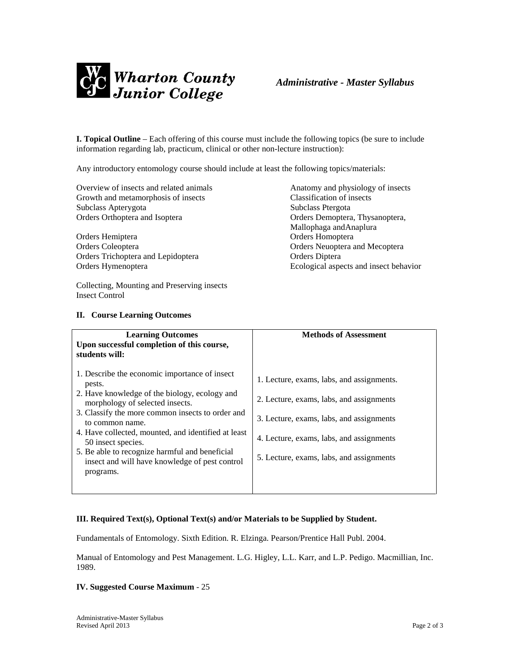

**I. Topical Outline** – Each offering of this course must include the following topics (be sure to include information regarding lab, practicum, clinical or other non-lecture instruction):

Any introductory entomology course should include at least the following topics/materials:

Overview of insects and related animals Anatomy and physiology of insects Growth and metamorphosis of insects<br>
Subclass Aptervgota<br>
Subclass Ptergota<br>
Subclass Ptergota Subclass Apterygota Orders Orthoptera and Isoptera **Democratic Corders Orders Democratic Corders Orthoptera**, Thysanoptera,

Orders Hemiptera Orders Homoptera Orders Coleoptera Orders Neuoptera and Mecoptera Orders Trichoptera and Lepidoptera **Diptera** Orders Diptera

Collecting, Mounting and Preserving insects Insect Control

## **II. Course Learning Outcomes**

Mallophaga andAnaplura Orders Hymenoptera Ecological aspects and insect behavior

| <b>Learning Outcomes</b>                                                                                                                                                                                                                                                                                                                                                                                         | <b>Methods of Assessment</b>                                                                                                                                                                                              |
|------------------------------------------------------------------------------------------------------------------------------------------------------------------------------------------------------------------------------------------------------------------------------------------------------------------------------------------------------------------------------------------------------------------|---------------------------------------------------------------------------------------------------------------------------------------------------------------------------------------------------------------------------|
| Upon successful completion of this course,<br>students will:                                                                                                                                                                                                                                                                                                                                                     |                                                                                                                                                                                                                           |
| 1. Describe the economic importance of insect<br>pests.<br>2. Have knowledge of the biology, ecology and<br>morphology of selected insects.<br>3. Classify the more common insects to order and<br>to common name.<br>4. Have collected, mounted, and identified at least<br>50 insect species.<br>5. Be able to recognize harmful and beneficial<br>insect and will have knowledge of pest control<br>programs. | 1. Lecture, exams, labs, and assignments.<br>2. Lecture, exams, labs, and assignments<br>3. Lecture, exams, labs, and assignments<br>4. Lecture, exams, labs, and assignments<br>5. Lecture, exams, labs, and assignments |
|                                                                                                                                                                                                                                                                                                                                                                                                                  |                                                                                                                                                                                                                           |

## **III. Required Text(s), Optional Text(s) and/or Materials to be Supplied by Student.**

Fundamentals of Entomology. Sixth Edition. R. Elzinga. Pearson/Prentice Hall Publ. 2004.

Manual of Entomology and Pest Management. L.G. Higley, L.L. Karr, and L.P. Pedigo. Macmillian, Inc. 1989.

### **IV. Suggested Course Maximum** - 25